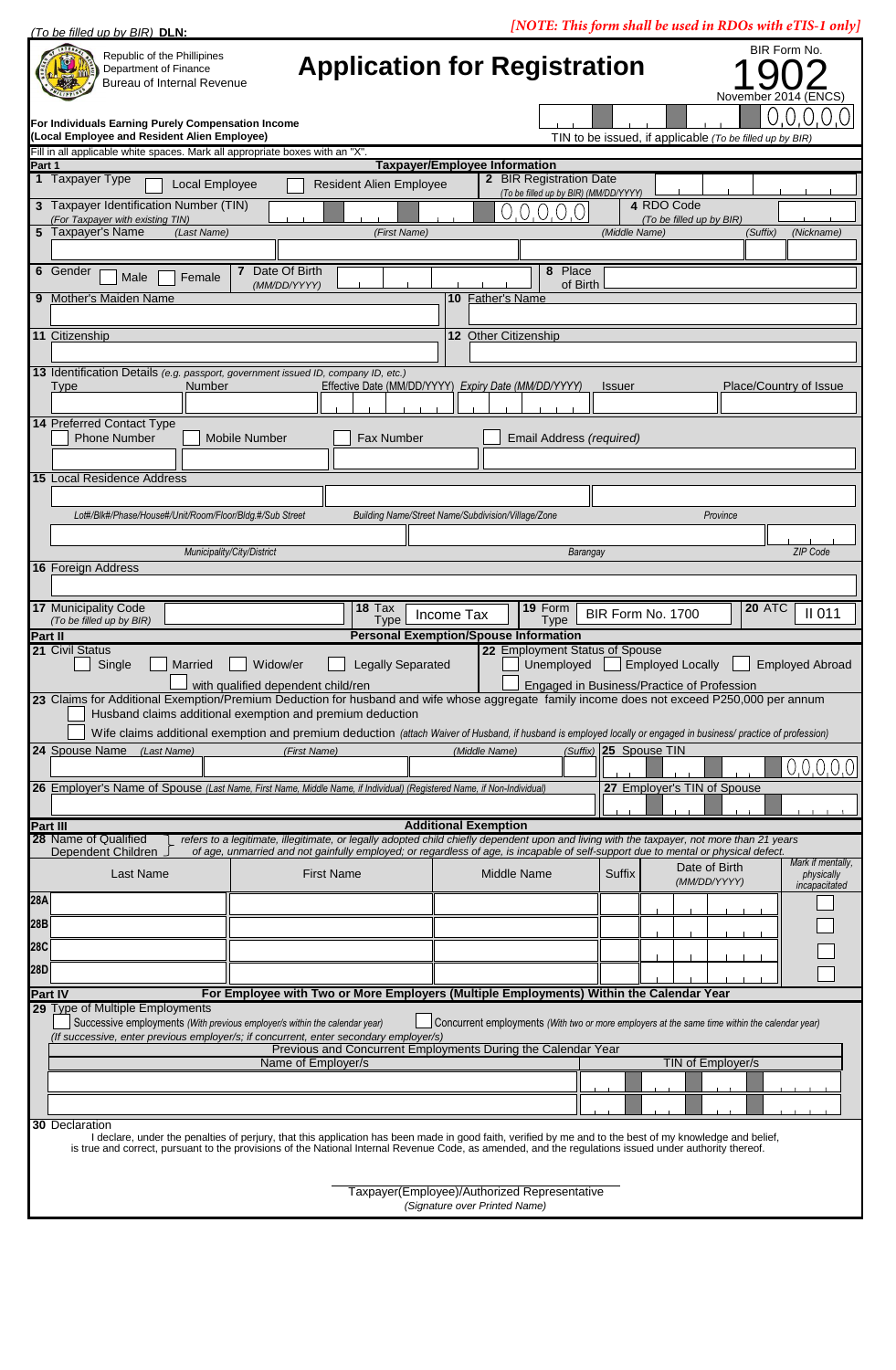*[NOTE: This form shall be used in RDOs with eTIS-1 only] (To be filled up by BIR)* **DLN:**  $\mathcal{N}(\mathcal{N})$  is form shall be used in RDOs with eTIS-1 only  $\mathcal{N}(\mathcal{N})$ BIR Form No. Republic of the Phillipines **Application for Registration** Department of Finance .<br>∷⊠ Bureau of Internal Revenue Novemb **For Individuals Earning Purely Compensation Income (Local Employee and Resident Alien Employee)** TIN to be issued, if applicable *(To be filled up by BIR)* Fill in all applicable white spaces. Mark all appr **Taxpayer/Employee Information Part 1**  1 Taxpayer Type **2 BIR Registration Date Resident Alien Employee** *(To be filled up by BIR) (MM/DD/YYYY)* **3** Taxpayer Identification Number (TIN) **4** RDO Code *(For Taxpayer with existing TIN)*<br>Taxpayer's Name *(Last Name)* **5** Taxpayer's Name *(Last Name) (First Name) (Middle Name) (Suffix) (Nickname)* **6** Gender **7** Male **7** Pate Of Birth **8 Place 8** Place **8 8** Place **8 8** Place **8 8** Place **8 8** Place  $F$ emale *(MM/DD/YYYY)* of Birth **9** Mother's Maiden Name **11** Citizenship **12** Other Citizenship **13** Identification Details *(e.g. passport, government issued ID, company ID, etc.)* Type Number **Effective Date (MM/DD/YYYY)** *Expiry Date (MM/DD/YYYY)* Issuer Place/Country of Issue **14** Preferred Contact Type Phone Number | Mobile Number | Fax Number | Email Address *(required)* **15** Local Residence Address *Lot#/Blk#/Phase/House#/Unit/Room/Floor/Bldg.#/Sub Street Building Name/Street Name/Subdivision/Village/Zone Province Municipality/City/District Barangay ZIP Code* **16** Foreign Address **17** Municipality Code **18** Tax **19 18** Tax **19** Form **19** Form **19 EXECUTE: 19** Form **No.** 1700 **20** ATC BIR Form No. 1700  $\left| \right|^{20 \text{ A} + 6}$  II 011 *(To be filled up by BIR)* **Type** Type This Type This Type **Personal Exemption/Spouse Information Part II 21** Civil Status of Spouse<br>
Single Married Widow/er Legally Separated **22** Employeed Employee Married Widow/er Legally Separated Unemployed Employed Locally Employed Abroad with qualified dependent child/ren Engaged in Business/Practice of Profession **23** Claims for Additional Exemption/Premium Deduction for husband and wife whose aggregate family income does not exceed P250,000 per annum Husband claims additional exemption and premium deduction Wife claims additional exemption and premium deduction (attach Waiver of Husband, if husband is employed locally or engaged in business/ practice of profession) **24** Spouse Name *(Last Name) (Suffix)* **25** Spouse TIN *(First Name) (Middle Name)*  $0.0.0.0.0$ **26** Employer's Name of Spouse *(Last Name, First Name, Middle Name, if Individual) (Registered Name, if Non-Individual)* **27** Employer's TIN of Spouse **Part III**<br>**28** Name of Qualified **Additional Exemption 28** Name of Qualified *refers to a legitimate, illegitimate, or legally adopted child chiefly dependent upon and living with the taxpayer, not more than 21 years Dependent Children <i>J* of age, unmarried and not gainfully of age, unmarried and not gainfully employed; or regardless of age, is incapable of self-support due to mental or physical defect *Mark if mentally,* Date of Birth Middle Name Suffix Last Name **First Name Middle Name Suffix Date of Bilth CONSECTER** *physically incapacitated* **28A 28B 28C 28D For Employee with Two or More Employers (Multiple Employments) Within the Calendar Year Part IV 29** Type of Multiple Employments Successive employments *(With previous employer/s within the calendar year)* Concurrent employments *(With two or more employers at the same time within the calendar year) (If successive, enter previous employer/s; if concurrent, enter secondary employer/s)* Previous and Concurrent Employments During the Calendar Year Name of Employer/s TIN of Employer/s

**30** Declaration

I declare, under the penalties of perjury, that this application has been made in good faith, verified by me and to the best of my knowledge and belief, is true and correct, pursuant to the provisions of the National Internal Revenue Code, as amended, and the regulations issued under authority thereof.

> Taxpayer(Employee)/Authorized Representative *(Signature over Printed Name)*